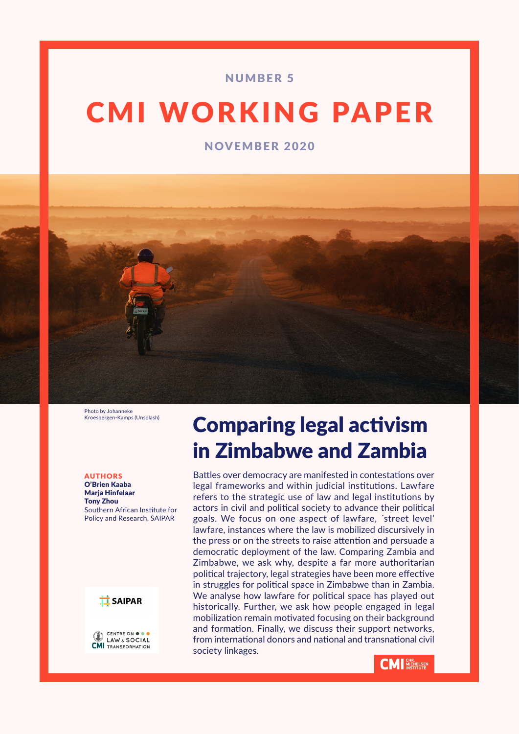# NUMBER 5

# CMI WORKING PAPER

NOVEMBER 2020



Photo by Johanneke Kroesbergen-Kamps (Unsplash)

AUTHORS O'Brien Kaaba Marja Hinfelaar Tony Zhou Southern African Institute for Policy and Research, SAIPAR



CENTRE ON O **I AW & SOCIAL CMI** TRANSFORMATION

# Comparing legal activism in Zimbabwe and Zambia

Battles over democracy are manifested in contestations over legal frameworks and within judicial institutions. Lawfare refers to the strategic use of law and legal institutions by actors in civil and political society to advance their political goals. We focus on one aspect of lawfare, ´street level' lawfare, instances where the law is mobilized discursively in the press or on the streets to raise attention and persuade a democratic deployment of the law. Comparing Zambia and Zimbabwe, we ask why, despite a far more authoritarian political trajectory, legal strategies have been more effective in struggles for political space in Zimbabwe than in Zambia. We analyse how lawfare for political space has played out historically. Further, we ask how people engaged in legal mobilization remain motivated focusing on their background and formation. Finally, we discuss their support networks, from international donors and national and transnational civil society linkages.

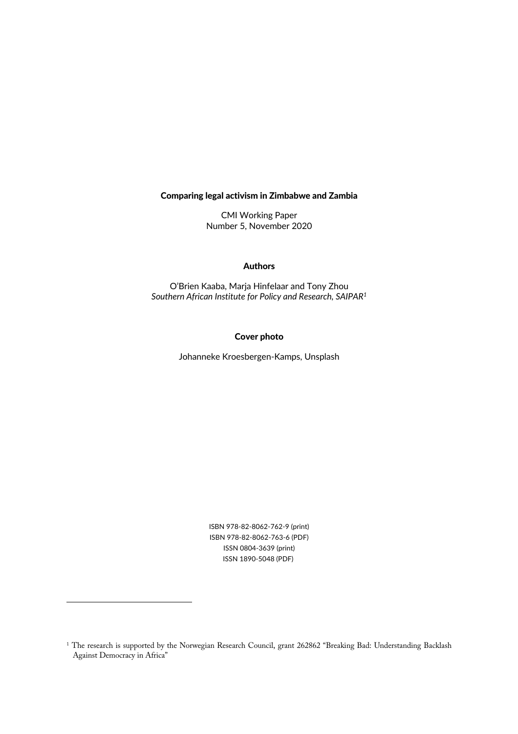#### Comparing legal activism in Zimbabwe and Zambia

CMI Working Paper Number 5, November 2020

#### Authors

O'Brien Kaaba, Marja Hinfelaar and Tony Zhou *Southern African Institute for Policy and Research, SAIPAR1*

#### Cover photo

Johanneke Kroesbergen-Kamps, Unsplash

ISBN 978-82-8062-762-9 (print) ISBN 978-82-8062-763-6 (PDF) ISSN 0804-3639 (print) ISSN 1890-5048 (PDF)

<sup>&</sup>lt;sup>1</sup> The research is supported by the Norwegian Research Council, grant 262862 "Breaking Bad: Understanding Backlash Against Democracy in Africa"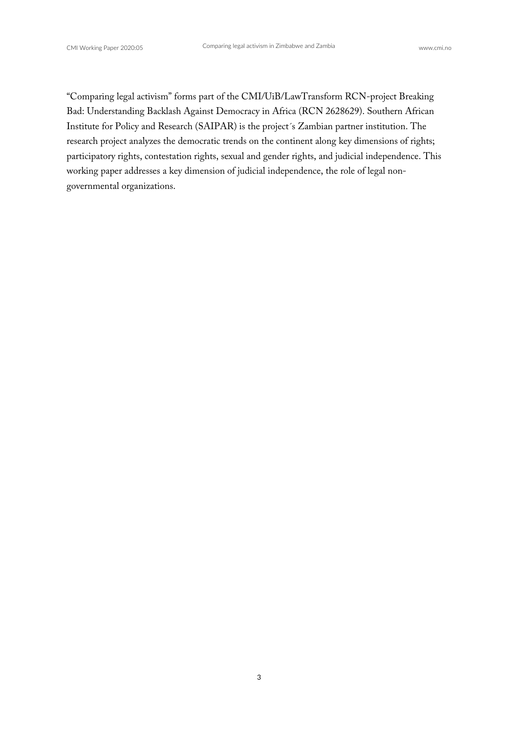"Comparing legal activism" forms part of the CMI/UiB/LawTransform RCN-project Breaking Bad: Understanding Backlash Against Democracy in Africa (RCN 2628629). Southern African Institute for Policy and Research (SAIPAR) is the project´s Zambian partner institution. The research project analyzes the democratic trends on the continent along key dimensions of rights; participatory rights, contestation rights, sexual and gender rights, and judicial independence. This working paper addresses a key dimension of judicial independence, the role of legal nongovernmental organizations.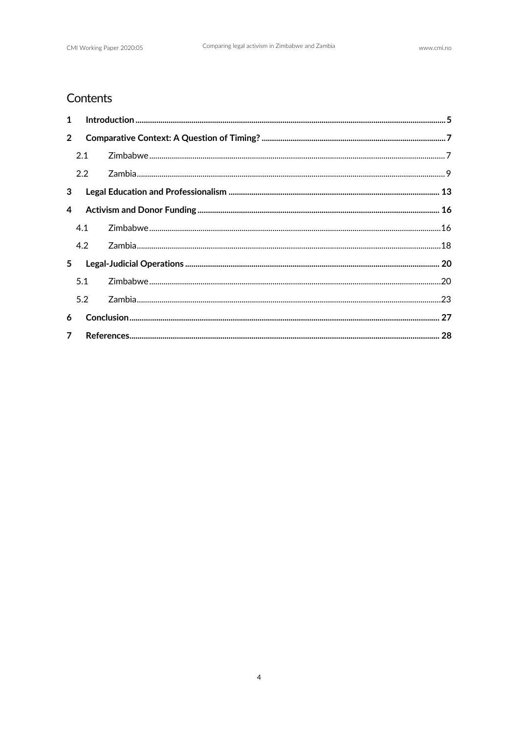# Contents

| $1 \quad$      |     |  |  |
|----------------|-----|--|--|
| $2^{\circ}$    |     |  |  |
|                | 2.1 |  |  |
|                | 2.2 |  |  |
| 3 <sup>7</sup> |     |  |  |
|                |     |  |  |
|                | 4.1 |  |  |
|                | 4.2 |  |  |
| 5 <sub>1</sub> |     |  |  |
|                | 5.1 |  |  |
|                | 5.2 |  |  |
| 6              |     |  |  |
| 7 <sup>7</sup> |     |  |  |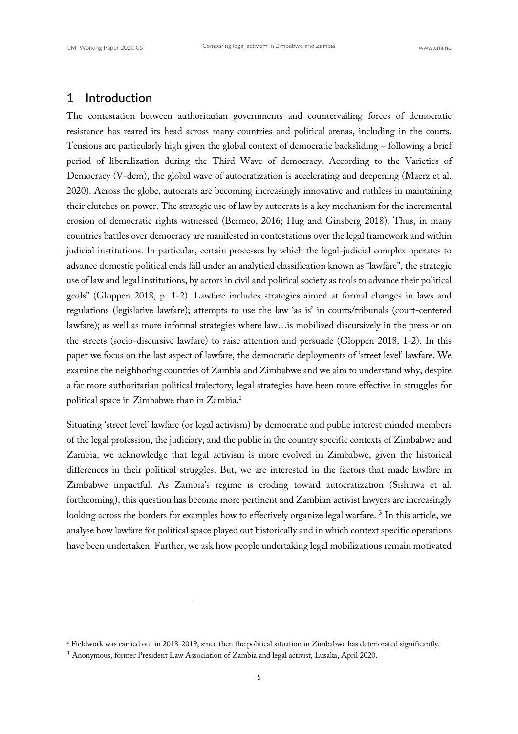# 1 Introduction

The contestation between authoritarian governments and countervailing forces of democratic resistance has reared its head across many countries and political arenas, including in the courts. Tensions are particularly high given the global context of democratic backsliding – following a brief period of liberalization during the Third Wave of democracy. According to the Varieties of Democracy (V-dem), the global wave of autocratization is accelerating and deepening (Maerz et al. 2020). Across the globe, autocrats are becoming increasingly innovative and ruthless in maintaining their clutches on power. The strategic use of law by autocrats is a key mechanism for the incremental erosion of democratic rights witnessed (Bermeo, 2016; Hug and Ginsberg 2018). Thus, in many countries battles over democracy are manifested in contestations over the legal framework and within judicial institutions. In particular, certain processes by which the legal-judicial complex operates to advance domestic political ends fall under an analytical classification known as "lawfare", the strategic use of law and legal institutions, by actors in civil and political society as tools to advance their political goals" (Gloppen 2018, p. 1-2). Lawfare includes strategies aimed at formal changes in laws and regulations (legislative lawfare); attempts to use the law 'as is' in courts/tribunals (court-centered lawfare); as well as more informal strategies where law…is mobilized discursively in the press or on the streets (socio-discursive lawfare) to raise attention and persuade (Gloppen 2018, 1-2). In this paper we focus on the last aspect of lawfare, the democratic deployments of 'street level' lawfare. We examine the neighboring countries of Zambia and Zimbabwe and we aim to understand why, despite a far more authoritarian political trajectory, legal strategies have been more effective in struggles for political space in Zimbabwe than in Zambia.2

Situating 'street level' lawfare (or legal activism) by democratic and public interest minded members of the legal profession, the judiciary, and the public in the country specific contexts of Zimbabwe and Zambia, we acknowledge that legal activism is more evolved in Zimbabwe, given the historical differences in their political struggles. But, we are interested in the factors that made lawfare in Zimbabwe impactful. As Zambia's regime is eroding toward autocratization (Sishuwa et al. forthcoming), this question has become more pertinent and Zambian activist lawyers are increasingly looking across the borders for examples how to effectively organize legal warfare. <sup>3</sup> In this article, we analyse how lawfare for political space played out historically and in which context specific operations have been undertaken. Further, we ask how people undertaking legal mobilizations remain motivated

<sup>2</sup> Fieldwork was carried out in 2018-2019, since then the political situation in Zimbabwe has deteriorated significantly.

<sup>3</sup> Anonymous, former President Law Association of Zambia and legal activist, Lusaka, April 2020.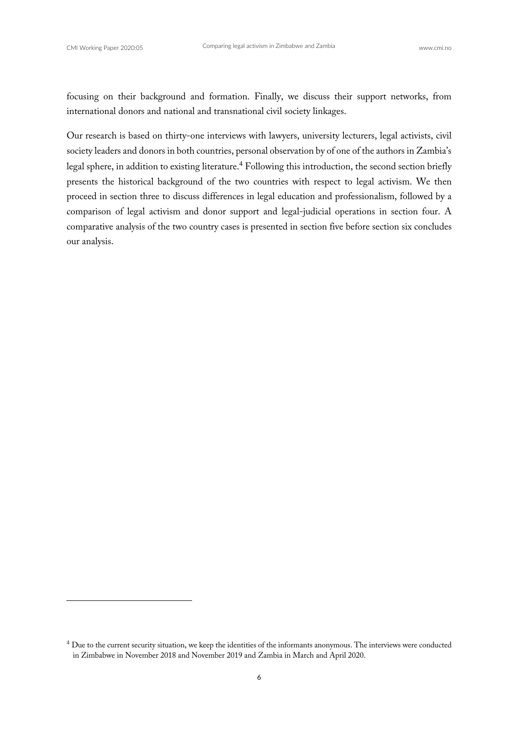focusing on their background and formation. Finally, we discuss their support networks, from international donors and national and transnational civil society linkages.

Our research is based on thirty-one interviews with lawyers, university lecturers, legal activists, civil society leaders and donors in both countries, personal observation by of one of the authors in Zambia's legal sphere, in addition to existing literature.<sup>4</sup> Following this introduction, the second section briefly presents the historical background of the two countries with respect to legal activism. We then proceed in section three to discuss differences in legal education and professionalism, followed by a comparison of legal activism and donor support and legal-judicial operations in section four. A comparative analysis of the two country cases is presented in section five before section six concludes our analysis.

<sup>4</sup> Due to the current security situation, we keep the identities of the informants anonymous. The interviews were conducted in Zimbabwe in November 2018 and November 2019 and Zambia in March and April 2020.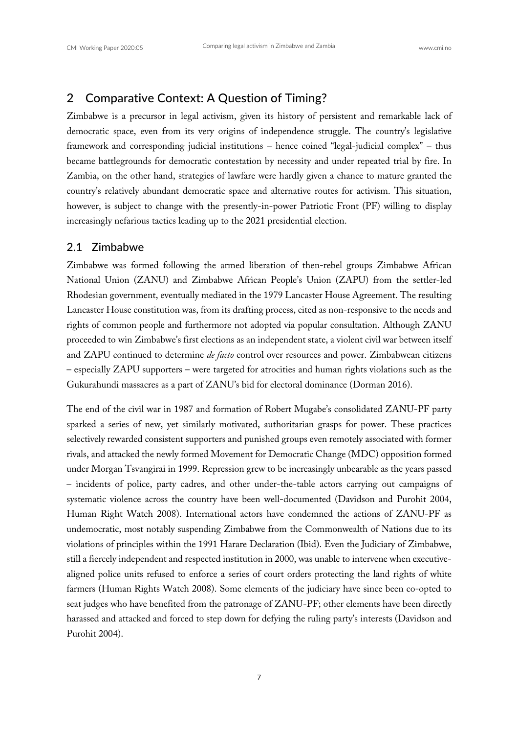# 2 Comparative Context: A Question of Timing?

Zimbabwe is a precursor in legal activism, given its history of persistent and remarkable lack of democratic space, even from its very origins of independence struggle. The country's legislative framework and corresponding judicial institutions – hence coined "legal-judicial complex" – thus became battlegrounds for democratic contestation by necessity and under repeated trial by fire. In Zambia, on the other hand, strategies of lawfare were hardly given a chance to mature granted the country's relatively abundant democratic space and alternative routes for activism. This situation, however, is subject to change with the presently-in-power Patriotic Front (PF) willing to display increasingly nefarious tactics leading up to the 2021 presidential election.

#### 2.1 Zimbabwe

Zimbabwe was formed following the armed liberation of then-rebel groups Zimbabwe African National Union (ZANU) and Zimbabwe African People's Union (ZAPU) from the settler-led Rhodesian government, eventually mediated in the 1979 Lancaster House Agreement. The resulting Lancaster House constitution was, from its drafting process, cited as non-responsive to the needs and rights of common people and furthermore not adopted via popular consultation. Although ZANU proceeded to win Zimbabwe's first elections as an independent state, a violent civil war between itself and ZAPU continued to determine *de facto* control over resources and power. Zimbabwean citizens – especially ZAPU supporters – were targeted for atrocities and human rights violations such as the Gukurahundi massacres as a part of ZANU's bid for electoral dominance (Dorman 2016).

The end of the civil war in 1987 and formation of Robert Mugabe's consolidated ZANU-PF party sparked a series of new, yet similarly motivated, authoritarian grasps for power. These practices selectively rewarded consistent supporters and punished groups even remotely associated with former rivals, and attacked the newly formed Movement for Democratic Change (MDC) opposition formed under Morgan Tsvangirai in 1999. Repression grew to be increasingly unbearable as the years passed – incidents of police, party cadres, and other under-the-table actors carrying out campaigns of systematic violence across the country have been well-documented (Davidson and Purohit 2004, Human Right Watch 2008). International actors have condemned the actions of ZANU-PF as undemocratic, most notably suspending Zimbabwe from the Commonwealth of Nations due to its violations of principles within the 1991 Harare Declaration (Ibid). Even the Judiciary of Zimbabwe, still a fiercely independent and respected institution in 2000, was unable to intervene when executivealigned police units refused to enforce a series of court orders protecting the land rights of white farmers (Human Rights Watch 2008). Some elements of the judiciary have since been co-opted to seat judges who have benefited from the patronage of ZANU-PF; other elements have been directly harassed and attacked and forced to step down for defying the ruling party's interests (Davidson and Purohit 2004).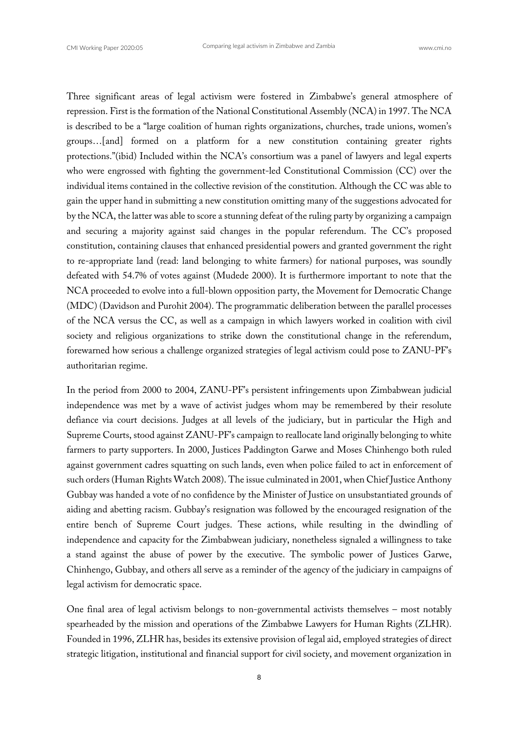Three significant areas of legal activism were fostered in Zimbabwe's general atmosphere of repression. First is the formation of the National Constitutional Assembly (NCA) in 1997. The NCA is described to be a "large coalition of human rights organizations, churches, trade unions, women's groups…[and] formed on a platform for a new constitution containing greater rights protections."(ibid) Included within the NCA's consortium was a panel of lawyers and legal experts who were engrossed with fighting the government-led Constitutional Commission (CC) over the individual items contained in the collective revision of the constitution. Although the CC was able to gain the upper hand in submitting a new constitution omitting many of the suggestions advocated for by the NCA, the latter was able to score a stunning defeat of the ruling party by organizing a campaign and securing a majority against said changes in the popular referendum. The CC's proposed constitution, containing clauses that enhanced presidential powers and granted government the right to re-appropriate land (read: land belonging to white farmers) for national purposes, was soundly defeated with 54.7% of votes against (Mudede 2000). It is furthermore important to note that the NCA proceeded to evolve into a full-blown opposition party, the Movement for Democratic Change (MDC) (Davidson and Purohit 2004). The programmatic deliberation between the parallel processes of the NCA versus the CC, as well as a campaign in which lawyers worked in coalition with civil society and religious organizations to strike down the constitutional change in the referendum, forewarned how serious a challenge organized strategies of legal activism could pose to ZANU-PF's authoritarian regime.

In the period from 2000 to 2004, ZANU-PF's persistent infringements upon Zimbabwean judicial independence was met by a wave of activist judges whom may be remembered by their resolute defiance via court decisions. Judges at all levels of the judiciary, but in particular the High and Supreme Courts, stood against ZANU-PF's campaign to reallocate land originally belonging to white farmers to party supporters. In 2000, Justices Paddington Garwe and Moses Chinhengo both ruled against government cadres squatting on such lands, even when police failed to act in enforcement of such orders (Human Rights Watch 2008). The issue culminated in 2001, when Chief Justice Anthony Gubbay was handed a vote of no confidence by the Minister of Justice on unsubstantiated grounds of aiding and abetting racism. Gubbay's resignation was followed by the encouraged resignation of the entire bench of Supreme Court judges. These actions, while resulting in the dwindling of independence and capacity for the Zimbabwean judiciary, nonetheless signaled a willingness to take a stand against the abuse of power by the executive. The symbolic power of Justices Garwe, Chinhengo, Gubbay, and others all serve as a reminder of the agency of the judiciary in campaigns of legal activism for democratic space.

One final area of legal activism belongs to non-governmental activists themselves – most notably spearheaded by the mission and operations of the Zimbabwe Lawyers for Human Rights (ZLHR). Founded in 1996, ZLHR has, besides its extensive provision of legal aid, employed strategies of direct strategic litigation, institutional and financial support for civil society, and movement organization in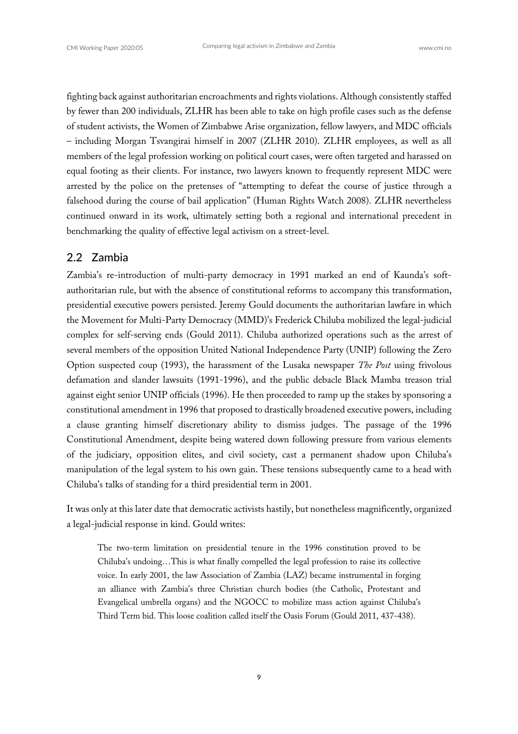fighting back against authoritarian encroachments and rights violations. Although consistently staffed by fewer than 200 individuals, ZLHR has been able to take on high profile cases such as the defense of student activists, the Women of Zimbabwe Arise organization, fellow lawyers, and MDC officials – including Morgan Tsvangirai himself in 2007 (ZLHR 2010). ZLHR employees, as well as all members of the legal profession working on political court cases, were often targeted and harassed on equal footing as their clients. For instance, two lawyers known to frequently represent MDC were arrested by the police on the pretenses of "attempting to defeat the course of justice through a falsehood during the course of bail application" (Human Rights Watch 2008). ZLHR nevertheless continued onward in its work, ultimately setting both a regional and international precedent in benchmarking the quality of effective legal activism on a street-level.

#### 2.2 Zambia

Zambia's re-introduction of multi-party democracy in 1991 marked an end of Kaunda's softauthoritarian rule, but with the absence of constitutional reforms to accompany this transformation, presidential executive powers persisted. Jeremy Gould documents the authoritarian lawfare in which the Movement for Multi-Party Democracy (MMD)'s Frederick Chiluba mobilized the legal-judicial complex for self-serving ends (Gould 2011). Chiluba authorized operations such as the arrest of several members of the opposition United National Independence Party (UNIP) following the Zero Option suspected coup (1993), the harassment of the Lusaka newspaper *The Post* using frivolous defamation and slander lawsuits (1991-1996), and the public debacle Black Mamba treason trial against eight senior UNIP officials (1996). He then proceeded to ramp up the stakes by sponsoring a constitutional amendment in 1996 that proposed to drastically broadened executive powers, including a clause granting himself discretionary ability to dismiss judges. The passage of the 1996 Constitutional Amendment, despite being watered down following pressure from various elements of the judiciary, opposition elites, and civil society, cast a permanent shadow upon Chiluba's manipulation of the legal system to his own gain. These tensions subsequently came to a head with Chiluba's talks of standing for a third presidential term in 2001.

It was only at this later date that democratic activists hastily, but nonetheless magnificently, organized a legal-judicial response in kind. Gould writes:

The two-term limitation on presidential tenure in the 1996 constitution proved to be Chiluba's undoing…This is what finally compelled the legal profession to raise its collective voice. In early 2001, the law Association of Zambia (LAZ) became instrumental in forging an alliance with Zambia's three Christian church bodies (the Catholic, Protestant and Evangelical umbrella organs) and the NGOCC to mobilize mass action against Chiluba's Third Term bid. This loose coalition called itself the Oasis Forum (Gould 2011, 437-438).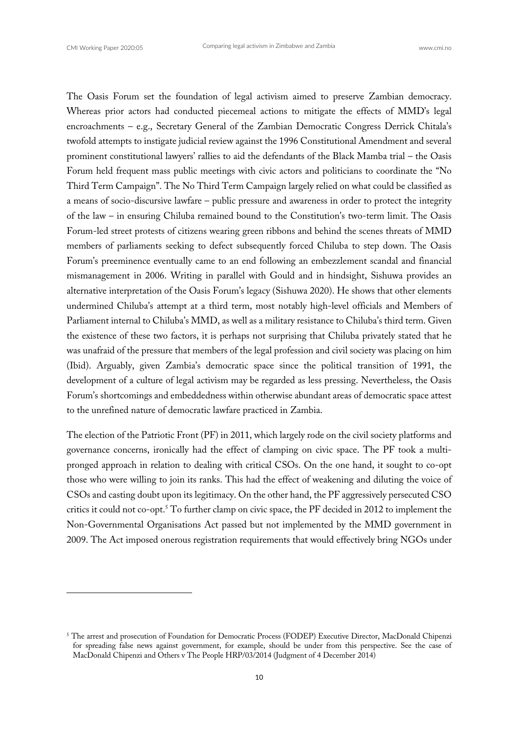The Oasis Forum set the foundation of legal activism aimed to preserve Zambian democracy. Whereas prior actors had conducted piecemeal actions to mitigate the effects of MMD's legal encroachments – e.g., Secretary General of the Zambian Democratic Congress Derrick Chitala's twofold attempts to instigate judicial review against the 1996 Constitutional Amendment and several prominent constitutional lawyers' rallies to aid the defendants of the Black Mamba trial – the Oasis Forum held frequent mass public meetings with civic actors and politicians to coordinate the "No Third Term Campaign". The No Third Term Campaign largely relied on what could be classified as a means of socio-discursive lawfare – public pressure and awareness in order to protect the integrity of the law – in ensuring Chiluba remained bound to the Constitution's two-term limit. The Oasis Forum-led street protests of citizens wearing green ribbons and behind the scenes threats of MMD members of parliaments seeking to defect subsequently forced Chiluba to step down. The Oasis Forum's preeminence eventually came to an end following an embezzlement scandal and financial mismanagement in 2006. Writing in parallel with Gould and in hindsight, Sishuwa provides an alternative interpretation of the Oasis Forum's legacy (Sishuwa 2020). He shows that other elements undermined Chiluba's attempt at a third term, most notably high-level officials and Members of Parliament internal to Chiluba's MMD, as well as a military resistance to Chiluba's third term. Given the existence of these two factors, it is perhaps not surprising that Chiluba privately stated that he was unafraid of the pressure that members of the legal profession and civil society was placing on him (Ibid). Arguably, given Zambia's democratic space since the political transition of 1991, the development of a culture of legal activism may be regarded as less pressing. Nevertheless, the Oasis Forum's shortcomings and embeddedness within otherwise abundant areas of democratic space attest to the unrefined nature of democratic lawfare practiced in Zambia.

The election of the Patriotic Front (PF) in 2011, which largely rode on the civil society platforms and governance concerns, ironically had the effect of clamping on civic space. The PF took a multipronged approach in relation to dealing with critical CSOs. On the one hand, it sought to co-opt those who were willing to join its ranks. This had the effect of weakening and diluting the voice of CSOs and casting doubt upon its legitimacy. On the other hand, the PF aggressively persecuted CSO critics it could not co-opt.5 To further clamp on civic space, the PF decided in 2012 to implement the Non-Governmental Organisations Act passed but not implemented by the MMD government in 2009. The Act imposed onerous registration requirements that would effectively bring NGOs under

<sup>5</sup> The arrest and prosecution of Foundation for Democratic Process (FODEP) Executive Director, MacDonald Chipenzi for spreading false news against government, for example, should be under from this perspective. See the case of MacDonald Chipenzi and Others v The People HRP/03/2014 (Judgment of 4 December 2014)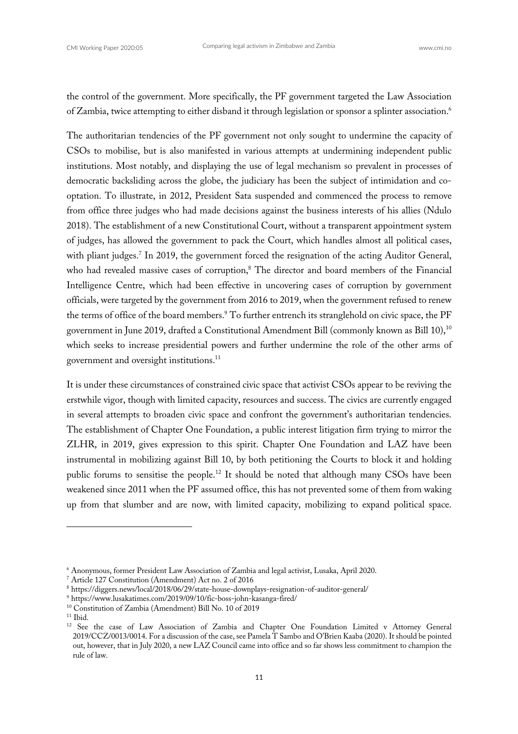the control of the government. More specifically, the PF government targeted the Law Association of Zambia, twice attempting to either disband it through legislation or sponsor a splinter association.6

The authoritarian tendencies of the PF government not only sought to undermine the capacity of CSOs to mobilise, but is also manifested in various attempts at undermining independent public institutions. Most notably, and displaying the use of legal mechanism so prevalent in processes of democratic backsliding across the globe, the judiciary has been the subject of intimidation and cooptation. To illustrate, in 2012, President Sata suspended and commenced the process to remove from office three judges who had made decisions against the business interests of his allies (Ndulo 2018). The establishment of a new Constitutional Court, without a transparent appointment system of judges, has allowed the government to pack the Court, which handles almost all political cases, with pliant judges.<sup>7</sup> In 2019, the government forced the resignation of the acting Auditor General, who had revealed massive cases of corruption,<sup>8</sup> The director and board members of the Financial Intelligence Centre, which had been effective in uncovering cases of corruption by government officials, were targeted by the government from 2016 to 2019, when the government refused to renew the terms of office of the board members.<sup>9</sup> To further entrench its stranglehold on civic space, the PF government in June 2019, drafted a Constitutional Amendment Bill (commonly known as Bill 10),<sup>10</sup> which seeks to increase presidential powers and further undermine the role of the other arms of government and oversight institutions.11

It is under these circumstances of constrained civic space that activist CSOs appear to be reviving the erstwhile vigor, though with limited capacity, resources and success. The civics are currently engaged in several attempts to broaden civic space and confront the government's authoritarian tendencies. The establishment of Chapter One Foundation, a public interest litigation firm trying to mirror the ZLHR, in 2019, gives expression to this spirit. Chapter One Foundation and LAZ have been instrumental in mobilizing against Bill 10, by both petitioning the Courts to block it and holding public forums to sensitise the people.<sup>12</sup> It should be noted that although many CSOs have been weakened since 2011 when the PF assumed office, this has not prevented some of them from waking up from that slumber and are now, with limited capacity, mobilizing to expand political space.

<sup>6</sup> Anonymous, former President Law Association of Zambia and legal activist, Lusaka, April 2020. 7 Article 127 Constitution (Amendment) Act no. 2 of 2016

<sup>8</sup> https://diggers.news/local/2018/06/29/state-house-downplays-resignation-of-auditor-general/

<sup>9</sup> https://www.lusakatimes.com/2019/09/10/fic-boss-john-kasanga-fired/

<sup>10</sup> Constitution of Zambia (Amendment) Bill No. 10 of 2019

 $11$  Ibid.

<sup>&</sup>lt;sup>12</sup> See the case of Law Association of Zambia and Chapter One Foundation Limited v Attorney General 2019/CCZ/0013/0014. For a discussion of the case, see Pamela T Sambo and O'Brien Kaaba (2020). It should be pointed out, however, that in July 2020, a new LAZ Council came into office and so far shows less commitment to champion the rule of law.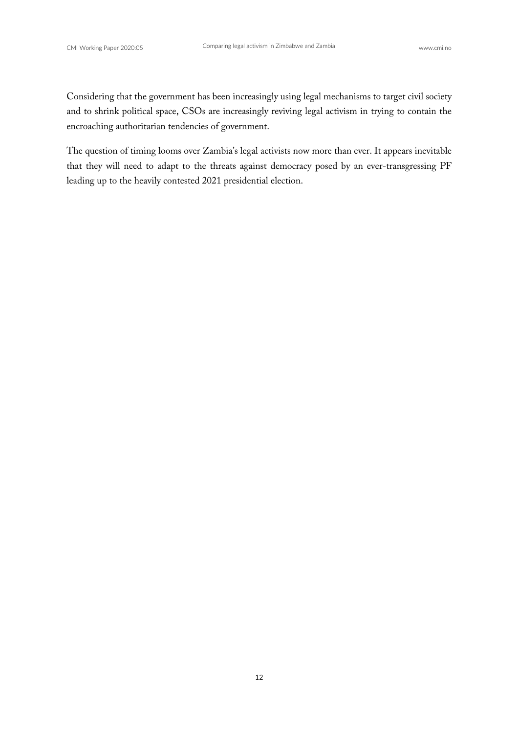Considering that the government has been increasingly using legal mechanisms to target civil society and to shrink political space, CSOs are increasingly reviving legal activism in trying to contain the encroaching authoritarian tendencies of government.

The question of timing looms over Zambia's legal activists now more than ever. It appears inevitable that they will need to adapt to the threats against democracy posed by an ever-transgressing PF leading up to the heavily contested 2021 presidential election.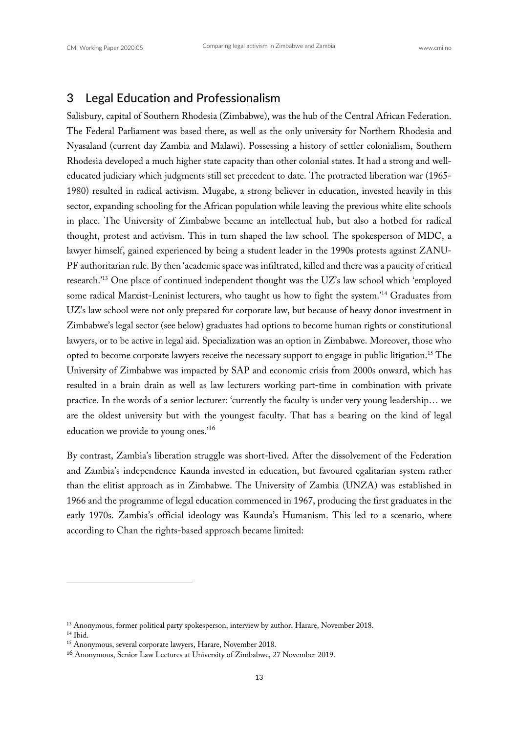# 3 Legal Education and Professionalism

Salisbury, capital of Southern Rhodesia (Zimbabwe), was the hub of the Central African Federation. The Federal Parliament was based there, as well as the only university for Northern Rhodesia and Nyasaland (current day Zambia and Malawi). Possessing a history of settler colonialism, Southern Rhodesia developed a much higher state capacity than other colonial states. It had a strong and welleducated judiciary which judgments still set precedent to date. The protracted liberation war (1965- 1980) resulted in radical activism. Mugabe, a strong believer in education, invested heavily in this sector, expanding schooling for the African population while leaving the previous white elite schools in place. The University of Zimbabwe became an intellectual hub, but also a hotbed for radical thought, protest and activism. This in turn shaped the law school. The spokesperson of MDC, a lawyer himself, gained experienced by being a student leader in the 1990s protests against ZANU-PF authoritarian rule. By then 'academic space was infiltrated, killed and there was a paucity of critical research.'13 One place of continued independent thought was the UZ's law school which 'employed some radical Marxist-Leninist lecturers, who taught us how to fight the system.<sup>'14</sup> Graduates from UZ's law school were not only prepared for corporate law, but because of heavy donor investment in Zimbabwe's legal sector (see below) graduates had options to become human rights or constitutional lawyers, or to be active in legal aid. Specialization was an option in Zimbabwe. Moreover, those who opted to become corporate lawyers receive the necessary support to engage in public litigation.<sup>15</sup> The University of Zimbabwe was impacted by SAP and economic crisis from 2000s onward, which has resulted in a brain drain as well as law lecturers working part-time in combination with private practice. In the words of a senior lecturer: 'currently the faculty is under very young leadership… we are the oldest university but with the youngest faculty. That has a bearing on the kind of legal education we provide to young ones.'<sup>16</sup>

By contrast, Zambia's liberation struggle was short-lived. After the dissolvement of the Federation and Zambia's independence Kaunda invested in education, but favoured egalitarian system rather than the elitist approach as in Zimbabwe. The University of Zambia (UNZA) was established in 1966 and the programme of legal education commenced in 1967, producing the first graduates in the early 1970s. Zambia's official ideology was Kaunda's Humanism. This led to a scenario, where according to Chan the rights-based approach became limited:

<sup>&</sup>lt;sup>13</sup> Anonymous, former political party spokesperson, interview by author, Harare, November 2018.  $14$  Ibid.

<sup>15</sup> Anonymous, several corporate lawyers, Harare, November 2018.

<sup>16</sup> Anonymous, Senior Law Lectures at University of Zimbabwe, 27 November 2019.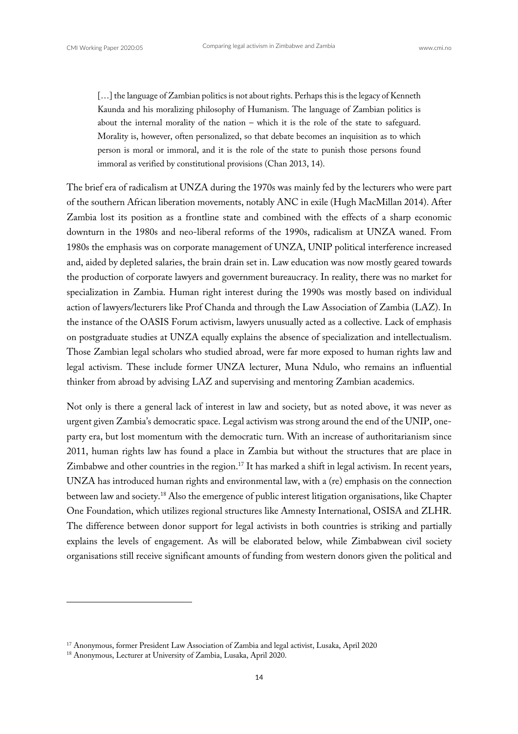[...] the language of Zambian politics is not about rights. Perhaps this is the legacy of Kenneth Kaunda and his moralizing philosophy of Humanism. The language of Zambian politics is about the internal morality of the nation – which it is the role of the state to safeguard. Morality is, however, often personalized, so that debate becomes an inquisition as to which person is moral or immoral, and it is the role of the state to punish those persons found immoral as verified by constitutional provisions (Chan 2013, 14).

The brief era of radicalism at UNZA during the 1970s was mainly fed by the lecturers who were part of the southern African liberation movements, notably ANC in exile (Hugh MacMillan 2014). After Zambia lost its position as a frontline state and combined with the effects of a sharp economic downturn in the 1980s and neo-liberal reforms of the 1990s, radicalism at UNZA waned. From 1980s the emphasis was on corporate management of UNZA, UNIP political interference increased and, aided by depleted salaries, the brain drain set in. Law education was now mostly geared towards the production of corporate lawyers and government bureaucracy. In reality, there was no market for specialization in Zambia. Human right interest during the 1990s was mostly based on individual action of lawyers/lecturers like Prof Chanda and through the Law Association of Zambia (LAZ). In the instance of the OASIS Forum activism, lawyers unusually acted as a collective. Lack of emphasis on postgraduate studies at UNZA equally explains the absence of specialization and intellectualism. Those Zambian legal scholars who studied abroad, were far more exposed to human rights law and legal activism. These include former UNZA lecturer, Muna Ndulo, who remains an influential thinker from abroad by advising LAZ and supervising and mentoring Zambian academics.

Not only is there a general lack of interest in law and society, but as noted above, it was never as urgent given Zambia's democratic space. Legal activism was strong around the end of the UNIP, oneparty era, but lost momentum with the democratic turn. With an increase of authoritarianism since 2011, human rights law has found a place in Zambia but without the structures that are place in Zimbabwe and other countries in the region.<sup>17</sup> It has marked a shift in legal activism. In recent years, UNZA has introduced human rights and environmental law, with a (re) emphasis on the connection between law and society.18 Also the emergence of public interest litigation organisations, like Chapter One Foundation, which utilizes regional structures like Amnesty International, OSISA and ZLHR. The difference between donor support for legal activists in both countries is striking and partially explains the levels of engagement. As will be elaborated below, while Zimbabwean civil society organisations still receive significant amounts of funding from western donors given the political and

<sup>17</sup> Anonymous, former President Law Association of Zambia and legal activist, Lusaka, April 2020

<sup>18</sup> Anonymous, Lecturer at University of Zambia, Lusaka, April 2020.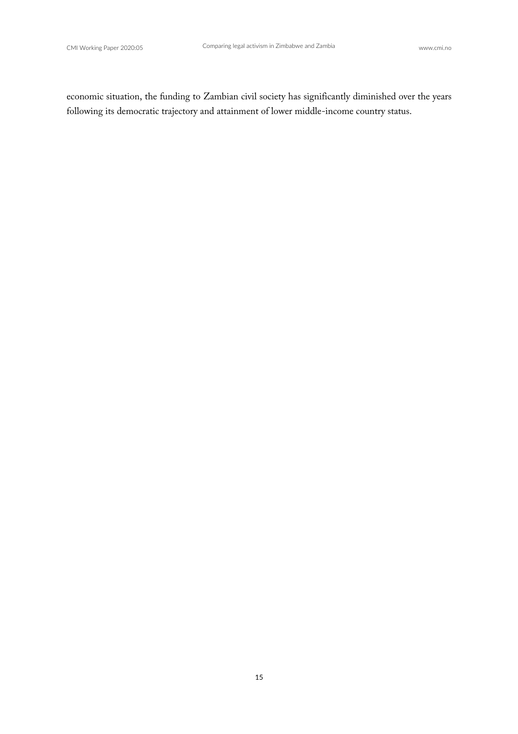economic situation, the funding to Zambian civil society has significantly diminished over the years following its democratic trajectory and attainment of lower middle-income country status.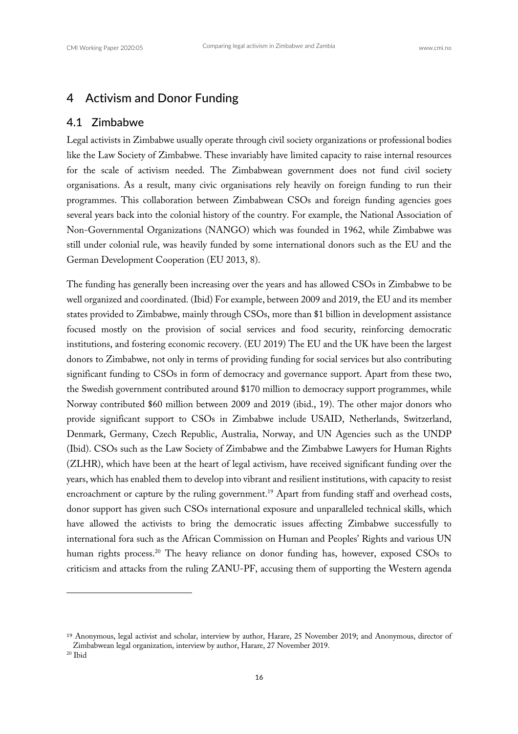#### 4 Activism and Donor Funding

#### 4.1 Zimbabwe

Legal activists in Zimbabwe usually operate through civil society organizations or professional bodies like the Law Society of Zimbabwe. These invariably have limited capacity to raise internal resources for the scale of activism needed. The Zimbabwean government does not fund civil society organisations. As a result, many civic organisations rely heavily on foreign funding to run their programmes. This collaboration between Zimbabwean CSOs and foreign funding agencies goes several years back into the colonial history of the country. For example, the National Association of Non-Governmental Organizations (NANGO) which was founded in 1962, while Zimbabwe was still under colonial rule, was heavily funded by some international donors such as the EU and the German Development Cooperation (EU 2013, 8).

The funding has generally been increasing over the years and has allowed CSOs in Zimbabwe to be well organized and coordinated. (Ibid) For example, between 2009 and 2019, the EU and its member states provided to Zimbabwe, mainly through CSOs, more than \$1 billion in development assistance focused mostly on the provision of social services and food security, reinforcing democratic institutions, and fostering economic recovery. (EU 2019) The EU and the UK have been the largest donors to Zimbabwe, not only in terms of providing funding for social services but also contributing significant funding to CSOs in form of democracy and governance support. Apart from these two, the Swedish government contributed around \$170 million to democracy support programmes, while Norway contributed \$60 million between 2009 and 2019 (ibid., 19). The other major donors who provide significant support to CSOs in Zimbabwe include USAID, Netherlands, Switzerland, Denmark, Germany, Czech Republic, Australia, Norway, and UN Agencies such as the UNDP (Ibid). CSOs such as the Law Society of Zimbabwe and the Zimbabwe Lawyers for Human Rights (ZLHR), which have been at the heart of legal activism, have received significant funding over the years, which has enabled them to develop into vibrant and resilient institutions, with capacity to resist encroachment or capture by the ruling government.<sup>19</sup> Apart from funding staff and overhead costs, donor support has given such CSOs international exposure and unparalleled technical skills, which have allowed the activists to bring the democratic issues affecting Zimbabwe successfully to international fora such as the African Commission on Human and Peoples' Rights and various UN human rights process.<sup>20</sup> The heavy reliance on donor funding has, however, exposed CSOs to criticism and attacks from the ruling ZANU-PF, accusing them of supporting the Western agenda

<sup>19</sup> Anonymous, legal activist and scholar, interview by author, Harare, 25 November 2019; and Anonymous, director of Zimbabwean legal organization, interview by author, Harare, 27 November 2019.

 $20$  Ibid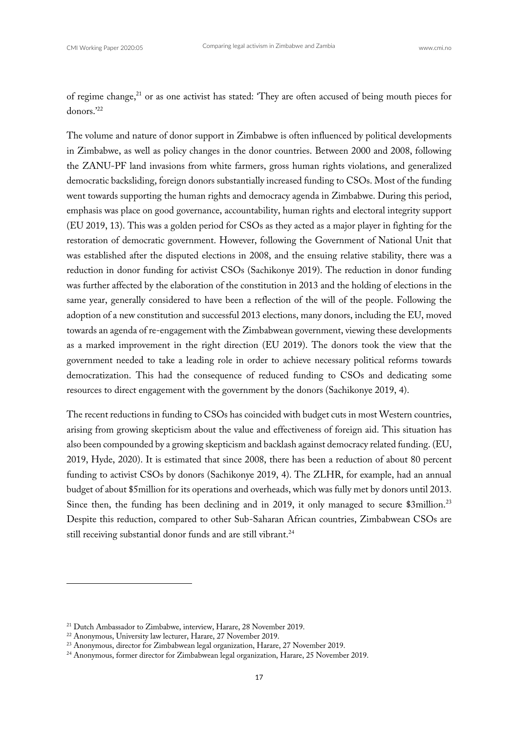of regime change,<sup>21</sup> or as one activist has stated: 'They are often accused of being mouth pieces for donors.'22

The volume and nature of donor support in Zimbabwe is often influenced by political developments in Zimbabwe, as well as policy changes in the donor countries. Between 2000 and 2008, following the ZANU-PF land invasions from white farmers, gross human rights violations, and generalized democratic backsliding, foreign donors substantially increased funding to CSOs. Most of the funding went towards supporting the human rights and democracy agenda in Zimbabwe. During this period, emphasis was place on good governance, accountability, human rights and electoral integrity support (EU 2019, 13). This was a golden period for CSOs as they acted as a major player in fighting for the restoration of democratic government. However, following the Government of National Unit that was established after the disputed elections in 2008, and the ensuing relative stability, there was a reduction in donor funding for activist CSOs (Sachikonye 2019). The reduction in donor funding was further affected by the elaboration of the constitution in 2013 and the holding of elections in the same year, generally considered to have been a reflection of the will of the people. Following the adoption of a new constitution and successful 2013 elections, many donors, including the EU, moved towards an agenda of re-engagement with the Zimbabwean government, viewing these developments as a marked improvement in the right direction (EU 2019). The donors took the view that the government needed to take a leading role in order to achieve necessary political reforms towards democratization. This had the consequence of reduced funding to CSOs and dedicating some resources to direct engagement with the government by the donors (Sachikonye 2019, 4).

The recent reductions in funding to CSOs has coincided with budget cuts in most Western countries, arising from growing skepticism about the value and effectiveness of foreign aid. This situation has also been compounded by a growing skepticism and backlash against democracy related funding. (EU, 2019, Hyde, 2020). It is estimated that since 2008, there has been a reduction of about 80 percent funding to activist CSOs by donors (Sachikonye 2019, 4). The ZLHR, for example, had an annual budget of about \$5million for its operations and overheads, which was fully met by donors until 2013. Since then, the funding has been declining and in 2019, it only managed to secure \$3million.<sup>23</sup> Despite this reduction, compared to other Sub-Saharan African countries, Zimbabwean CSOs are still receiving substantial donor funds and are still vibrant.<sup>24</sup>

<sup>&</sup>lt;sup>21</sup> Dutch Ambassador to Zimbabwe, interview, Harare, 28 November 2019.<br><sup>22</sup> Anonymous, University law lecturer, Harare, 27 November 2019.<br><sup>23</sup> Anonymous, director for Zimbabwean legal organization, Harare, 27 November 20

<sup>&</sup>lt;sup>24</sup> Anonymous, former director for Zimbabwean legal organization, Harare, 25 November 2019.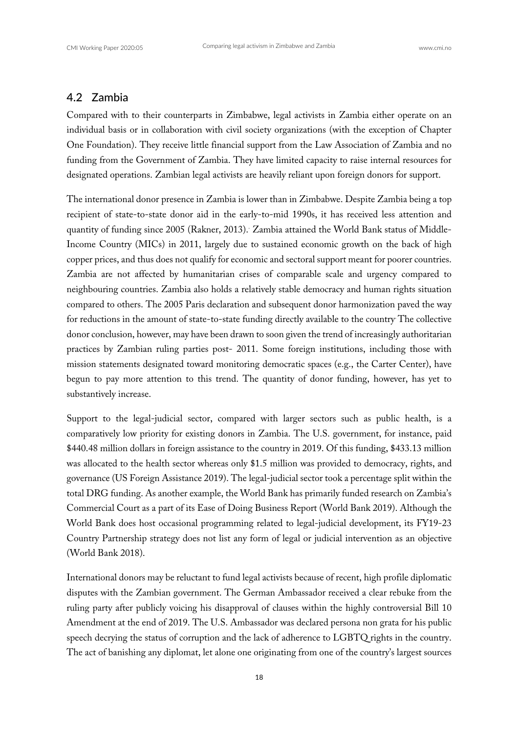#### 4.2 Zambia

Compared with to their counterparts in Zimbabwe, legal activists in Zambia either operate on an individual basis or in collaboration with civil society organizations (with the exception of Chapter One Foundation). They receive little financial support from the Law Association of Zambia and no funding from the Government of Zambia. They have limited capacity to raise internal resources for designated operations. Zambian legal activists are heavily reliant upon foreign donors for support.

The international donor presence in Zambia is lower than in Zimbabwe. Despite Zambia being a top recipient of state-to-state donor aid in the early-to-mid 1990s, it has received less attention and quantity of funding since 2005 (Rakner, 2013). Zambia attained the World Bank status of Middle-Income Country (MICs) in 2011, largely due to sustained economic growth on the back of high copper prices, and thus does not qualify for economic and sectoral support meant for poorer countries. Zambia are not affected by humanitarian crises of comparable scale and urgency compared to neighbouring countries. Zambia also holds a relatively stable democracy and human rights situation compared to others. The 2005 Paris declaration and subsequent donor harmonization paved the way for reductions in the amount of state-to-state funding directly available to the country. The collective donor conclusion, however, may have been drawn to soon given the trend of increasingly authoritarian practices by Zambian ruling parties post- 2011. Some foreign institutions, including those with mission statements designated toward monitoring democratic spaces (e.g., the Carter Center), have begun to pay more attention to this trend. The quantity of donor funding, however, has yet to substantively increase.

Support to the legal-judicial sector, compared with larger sectors such as public health, is a comparatively low priority for existing donors in Zambia. The U.S. government, for instance, paid \$440.48 million dollars in foreign assistance to the country in 2019. Of this funding, \$433.13 million was allocated to the health sector whereas only \$1.5 million was provided to democracy, rights, and governance (US Foreign Assistance 2019). The legal-judicial sector took a percentage split within the total DRG funding. As another example, the World Bank has primarily funded research on Zambia's Commercial Court as a part of its Ease of Doing Business Report (World Bank 2019). Although the World Bank does host occasional programming related to legal-judicial development, its FY19-23 Country Partnership strategy does not list any form of legal or judicial intervention as an objective (World Bank 2018).

International donors may be reluctant to fund legal activists because of recent, high profile diplomatic disputes with the Zambian government. The German Ambassador received a clear rebuke from the ruling party after publicly voicing his disapproval of clauses within the highly controversial Bill 10 Amendment at the end of 2019. The U.S. Ambassador was declared persona non grata for his public speech decrying the status of corruption and the lack of adherence to LGBTQ rights in the country. The act of banishing any diplomat, let alone one originating from one of the country's largest sources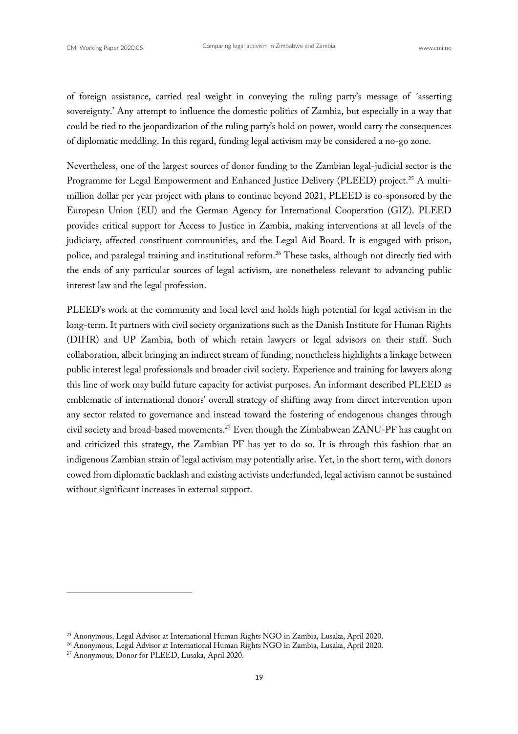of foreign assistance, carried real weight in conveying the ruling party's message of ´asserting sovereignty.' Any attempt to influence the domestic politics of Zambia, but especially in a way that could be tied to the jeopardization of the ruling party's hold on power, would carry the consequences of diplomatic meddling. In this regard, funding legal activism may be considered a no-go zone.

Nevertheless, one of the largest sources of donor funding to the Zambian legal-judicial sector is the Programme for Legal Empowerment and Enhanced Justice Delivery (PLEED) project.<sup>25</sup> A multimillion dollar per year project with plans to continue beyond 2021, PLEED is co-sponsored by the European Union (EU) and the German Agency for International Cooperation (GIZ). PLEED provides critical support for Access to Justice in Zambia, making interventions at all levels of the judiciary, affected constituent communities, and the Legal Aid Board. It is engaged with prison, police, and paralegal training and institutional reform.<sup>26</sup> These tasks, although not directly tied with the ends of any particular sources of legal activism, are nonetheless relevant to advancing public interest law and the legal profession.

PLEED's work at the community and local level and holds high potential for legal activism in the long-term. It partners with civil society organizations such as the Danish Institute for Human Rights (DIHR) and UP Zambia, both of which retain lawyers or legal advisors on their staff. Such collaboration, albeit bringing an indirect stream of funding, nonetheless highlights a linkage between public interest legal professionals and broader civil society. Experience and training for lawyers along this line of work may build future capacity for activist purposes. An informant described PLEED as emblematic of international donors' overall strategy of shifting away from direct intervention upon any sector related to governance and instead toward the fostering of endogenous changes through civil society and broad-based movements.<sup>27</sup> Even though the Zimbabwean ZANU-PF has caught on and criticized this strategy, the Zambian PF has yet to do so. It is through this fashion that an indigenous Zambian strain of legal activism may potentially arise. Yet, in the short term, with donors cowed from diplomatic backlash and existing activists underfunded, legal activism cannot be sustained without significant increases in external support.

<sup>25</sup> Anonymous, Legal Advisor at International Human Rights NGO in Zambia, Lusaka, April 2020.

<sup>&</sup>lt;sup>26</sup> Anonymous, Legal Advisor at International Human Rights NGO in Zambia, Lusaka, April 2020.<br><sup>27</sup> Anonymous, Donor for PLEED, Lusaka, April 2020.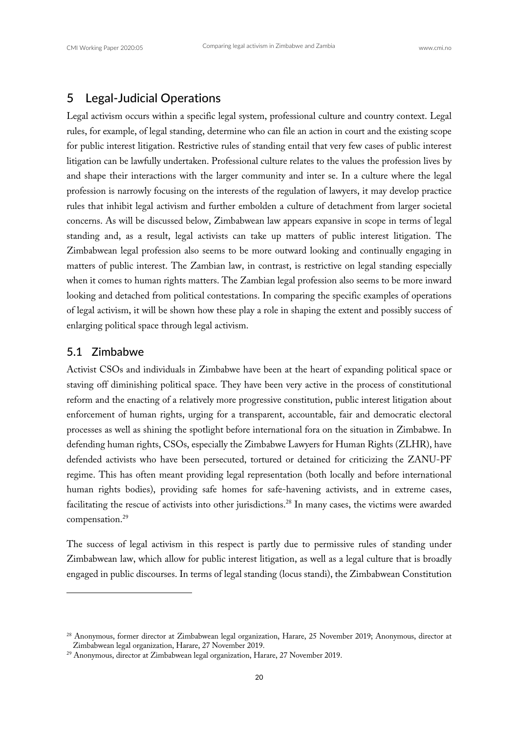# 5 Legal-Judicial Operations

Legal activism occurs within a specific legal system, professional culture and country context. Legal rules, for example, of legal standing, determine who can file an action in court and the existing scope for public interest litigation. Restrictive rules of standing entail that very few cases of public interest litigation can be lawfully undertaken. Professional culture relates to the values the profession lives by and shape their interactions with the larger community and inter se. In a culture where the legal profession is narrowly focusing on the interests of the regulation of lawyers, it may develop practice rules that inhibit legal activism and further embolden a culture of detachment from larger societal concerns. As will be discussed below, Zimbabwean law appears expansive in scope in terms of legal standing and, as a result, legal activists can take up matters of public interest litigation. The Zimbabwean legal profession also seems to be more outward looking and continually engaging in matters of public interest. The Zambian law, in contrast, is restrictive on legal standing especially when it comes to human rights matters. The Zambian legal profession also seems to be more inward looking and detached from political contestations. In comparing the specific examples of operations of legal activism, it will be shown how these play a role in shaping the extent and possibly success of enlarging political space through legal activism.

#### 5.1 Zimbabwe

Activist CSOs and individuals in Zimbabwe have been at the heart of expanding political space or staving off diminishing political space. They have been very active in the process of constitutional reform and the enacting of a relatively more progressive constitution, public interest litigation about enforcement of human rights, urging for a transparent, accountable, fair and democratic electoral processes as well as shining the spotlight before international fora on the situation in Zimbabwe. In defending human rights, CSOs, especially the Zimbabwe Lawyers for Human Rights (ZLHR), have defended activists who have been persecuted, tortured or detained for criticizing the ZANU-PF regime. This has often meant providing legal representation (both locally and before international human rights bodies), providing safe homes for safe-havening activists, and in extreme cases, facilitating the rescue of activists into other jurisdictions.<sup>28</sup> In many cases, the victims were awarded compensation.<sup>29</sup>

The success of legal activism in this respect is partly due to permissive rules of standing under Zimbabwean law, which allow for public interest litigation, as well as a legal culture that is broadly engaged in public discourses. In terms of legal standing (locus standi), the Zimbabwean Constitution

<sup>&</sup>lt;sup>28</sup> Anonymous, former director at Zimbabwean legal organization, Harare, 25 November 2019; Anonymous, director at Zimbabwean legal organization, Harare, 27 November 2019.

<sup>29</sup> Anonymous, director at Zimbabwean legal organization, Harare, 27 November 2019.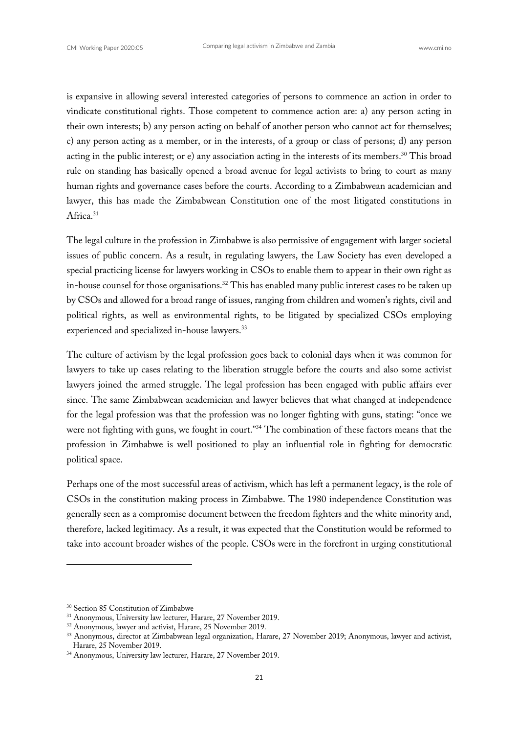is expansive in allowing several interested categories of persons to commence an action in order to vindicate constitutional rights. Those competent to commence action are: a) any person acting in their own interests; b) any person acting on behalf of another person who cannot act for themselves; c) any person acting as a member, or in the interests, of a group or class of persons; d) any person acting in the public interest; or e) any association acting in the interests of its members.<sup>30</sup> This broad rule on standing has basically opened a broad avenue for legal activists to bring to court as many human rights and governance cases before the courts. According to a Zimbabwean academician and lawyer, this has made the Zimbabwean Constitution one of the most litigated constitutions in Africa.<sup>31</sup>

The legal culture in the profession in Zimbabwe is also permissive of engagement with larger societal issues of public concern. As a result, in regulating lawyers, the Law Society has even developed a special practicing license for lawyers working in CSOs to enable them to appear in their own right as in-house counsel for those organisations.<sup>32</sup> This has enabled many public interest cases to be taken up by CSOs and allowed for a broad range of issues, ranging from children and women's rights, civil and political rights, as well as environmental rights, to be litigated by specialized CSOs employing experienced and specialized in-house lawyers.<sup>33</sup>

The culture of activism by the legal profession goes back to colonial days when it was common for lawyers to take up cases relating to the liberation struggle before the courts and also some activist lawyers joined the armed struggle. The legal profession has been engaged with public affairs ever since. The same Zimbabwean academician and lawyer believes that what changed at independence for the legal profession was that the profession was no longer fighting with guns, stating: "once we were not fighting with guns, we fought in court."<sup>34</sup> The combination of these factors means that the profession in Zimbabwe is well positioned to play an influential role in fighting for democratic political space.

Perhaps one of the most successful areas of activism, which has left a permanent legacy, is the role of CSOs in the constitution making process in Zimbabwe. The 1980 independence Constitution was generally seen as a compromise document between the freedom fighters and the white minority and, therefore, lacked legitimacy. As a result, it was expected that the Constitution would be reformed to take into account broader wishes of the people. CSOs were in the forefront in urging constitutional

<sup>&</sup>lt;sup>30</sup> Section 85 Constitution of Zimbabwe

<sup>31</sup> Anonymous, University law lecturer, Harare, 27 November 2019.

<sup>&</sup>lt;sup>32</sup> Anonymous, lawyer and activist, Harare, 25 November 2019.

<sup>&</sup>lt;sup>33</sup> Anonymous, director at Zimbabwean legal organization, Harare, 27 November 2019; Anonymous, lawyer and activist, Harare, 25 November 2019. 34 Anonymous, University law lecturer, Harare, 27 November 2019.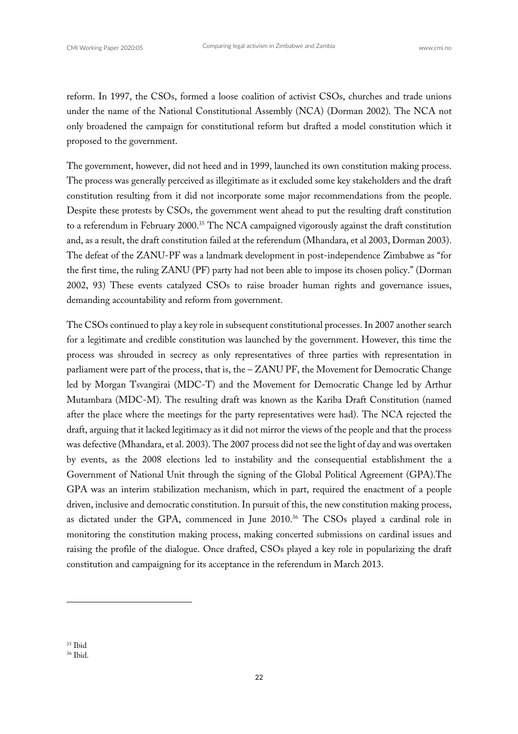reform. In 1997, the CSOs, formed a loose coalition of activist CSOs, churches and trade unions under the name of the National Constitutional Assembly (NCA) (Dorman 2002). The NCA not only broadened the campaign for constitutional reform but drafted a model constitution which it proposed to the government.

The government, however, did not heed and in 1999, launched its own constitution making process. The process was generally perceived as illegitimate as it excluded some key stakeholders and the draft constitution resulting from it did not incorporate some major recommendations from the people. Despite these protests by CSOs, the government went ahead to put the resulting draft constitution to a referendum in February 2000.<sup>35</sup> The NCA campaigned vigorously against the draft constitution and, as a result, the draft constitution failed at the referendum (Mhandara, et al 2003, Dorman 2003). The defeat of the ZANU-PF was a landmark development in post-independence Zimbabwe as "for the first time, the ruling ZANU (PF) party had not been able to impose its chosen policy." (Dorman 2002, 93) These events catalyzed CSOs to raise broader human rights and governance issues, demanding accountability and reform from government.

The CSOs continued to play a key role in subsequent constitutional processes. In 2007 another search for a legitimate and credible constitution was launched by the government. However, this time the process was shrouded in secrecy as only representatives of three parties with representation in parliament were part of the process, that is, the – ZANU PF, the Movement for Democratic Change led by Morgan Tsvangirai (MDC-T) and the Movement for Democratic Change led by Arthur Mutambara (MDC-M). The resulting draft was known as the Kariba Draft Constitution (named after the place where the meetings for the party representatives were had). The NCA rejected the draft, arguing that it lacked legitimacy as it did not mirror the views of the people and that the process was defective (Mhandara, et al. 2003). The 2007 process did not see the light of day and was overtaken by events, as the 2008 elections led to instability and the consequential establishment the a Government of National Unit through the signing of the Global Political Agreement (GPA).The GPA was an interim stabilization mechanism, which in part, required the enactment of a people driven, inclusive and democratic constitution. In pursuit of this, the new constitution making process, as dictated under the GPA, commenced in June 2010.<sup>36</sup> The CSOs played a cardinal role in monitoring the constitution making process, making concerted submissions on cardinal issues and raising the profile of the dialogue. Once drafted, CSOs played a key role in popularizing the draft constitution and campaigning for its acceptance in the referendum in March 2013.

<sup>&</sup>lt;sup>35</sup> Ibid

<sup>36</sup> Ibid.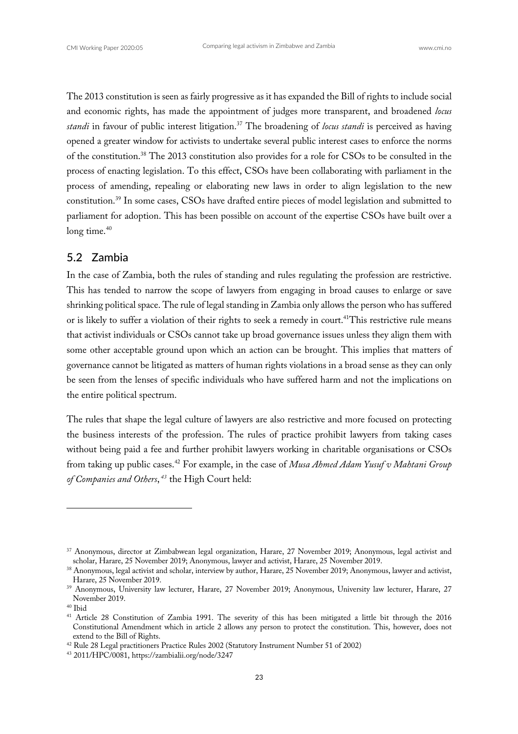The 2013 constitution is seen as fairly progressive as it has expanded the Bill of rights to include social and economic rights, has made the appointment of judges more transparent, and broadened *locus standi* in favour of public interest litigation.<sup>37</sup> The broadening of *locus standi* is perceived as having opened a greater window for activists to undertake several public interest cases to enforce the norms of the constitution.38 The 2013 constitution also provides for a role for CSOs to be consulted in the process of enacting legislation. To this effect, CSOs have been collaborating with parliament in the process of amending, repealing or elaborating new laws in order to align legislation to the new constitution.39 In some cases, CSOs have drafted entire pieces of model legislation and submitted to parliament for adoption. This has been possible on account of the expertise CSOs have built over a long time. $40$ 

#### 5.2 Zambia

In the case of Zambia, both the rules of standing and rules regulating the profession are restrictive. This has tended to narrow the scope of lawyers from engaging in broad causes to enlarge or save shrinking political space. The rule of legal standing in Zambia only allows the person who has suffered or is likely to suffer a violation of their rights to seek a remedy in court. 41This restrictive rule means that activist individuals or CSOs cannot take up broad governance issues unless they align them with some other acceptable ground upon which an action can be brought. This implies that matters of governance cannot be litigated as matters of human rights violations in a broad sense as they can only be seen from the lenses of specific individuals who have suffered harm and not the implications on the entire political spectrum.

The rules that shape the legal culture of lawyers are also restrictive and more focused on protecting the business interests of the profession. The rules of practice prohibit lawyers from taking cases without being paid a fee and further prohibit lawyers working in charitable organisations or CSOs from taking up public cases.42 For example, in the case of *Musa Ahmed Adam Yusuf v Mahtani Group of Companies and Others*, *<sup>43</sup>* the High Court held:

<sup>37</sup> Anonymous, director at Zimbabwean legal organization, Harare, 27 November 2019; Anonymous, legal activist and scholar, Harare, 25 November 2019; Anonymous, lawyer and activist, Harare, 25 November 2019.

<sup>&</sup>lt;sup>38</sup> Anonymous, legal activist and scholar, interview by author, Harare, 25 November 2019; Anonymous, lawyer and activist, Harare, 25 November 2019.

<sup>&</sup>lt;sup>39</sup> Anonymous, University law lecturer, Harare, 27 November 2019; Anonymous, University law lecturer, Harare, 27 November 2019.

<sup>40</sup> Ibid

<sup>&</sup>lt;sup>41</sup> Article 28 Constitution of Zambia 1991. The severity of this has been mitigated a little bit through the 2016 Constitutional Amendment which in article 2 allows any person to protect the constitution. This, however, does not extend to the Bill of Rights.

<sup>42</sup> Rule 28 Legal practitioners Practice Rules 2002 (Statutory Instrument Number 51 of 2002)

<sup>43</sup> 2011/HPC/0081, https://zambialii.org/node/3247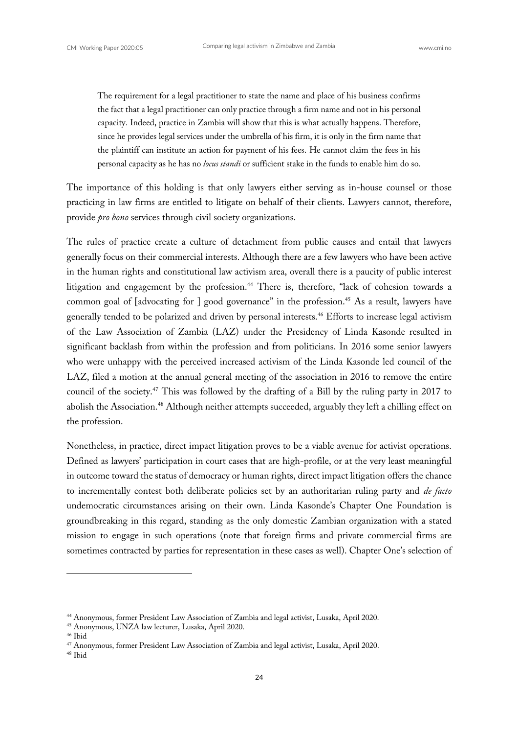The requirement for a legal practitioner to state the name and place of his business confirms the fact that a legal practitioner can only practice through a firm name and not in his personal capacity. Indeed, practice in Zambia will show that this is what actually happens. Therefore, since he provides legal services under the umbrella of his firm, it is only in the firm name that the plaintiff can institute an action for payment of his fees. He cannot claim the fees in his personal capacity as he has no *locus standi* or sufficient stake in the funds to enable him do so.

The importance of this holding is that only lawyers either serving as in-house counsel or those practicing in law firms are entitled to litigate on behalf of their clients. Lawyers cannot, therefore, provide *pro bono* services through civil society organizations.

The rules of practice create a culture of detachment from public causes and entail that lawyers generally focus on their commercial interests. Although there are a few lawyers who have been active in the human rights and constitutional law activism area, overall there is a paucity of public interest litigation and engagement by the profession.<sup>44</sup> There is, therefore, "lack of cohesion towards a common goal of [advocating for ] good governance" in the profession.<sup>45</sup> As a result, lawyers have generally tended to be polarized and driven by personal interests.<sup>46</sup> Efforts to increase legal activism of the Law Association of Zambia (LAZ) under the Presidency of Linda Kasonde resulted in significant backlash from within the profession and from politicians. In 2016 some senior lawyers who were unhappy with the perceived increased activism of the Linda Kasonde led council of the LAZ, filed a motion at the annual general meeting of the association in 2016 to remove the entire council of the society.47 This was followed by the drafting of a Bill by the ruling party in 2017 to abolish the Association.<sup>48</sup> Although neither attempts succeeded, arguably they left a chilling effect on the profession.

Nonetheless, in practice, direct impact litigation proves to be a viable avenue for activist operations. Defined as lawyers' participation in court cases that are high-profile, or at the very least meaningful in outcome toward the status of democracy or human rights, direct impact litigation offers the chance to incrementally contest both deliberate policies set by an authoritarian ruling party and *de facto* undemocratic circumstances arising on their own. Linda Kasonde's Chapter One Foundation is groundbreaking in this regard, standing as the only domestic Zambian organization with a stated mission to engage in such operations (note that foreign firms and private commercial firms are sometimes contracted by parties for representation in these cases as well). Chapter One's selection of

<sup>44</sup> Anonymous, former President Law Association of Zambia and legal activist, Lusaka, April 2020.

<sup>45</sup> Anonymous, UNZA law lecturer, Lusaka, April 2020.

<sup>&</sup>lt;sup>47</sup> Anonymous, former President Law Association of Zambia and legal activist, Lusaka, April 2020.

<sup>48</sup> Ibid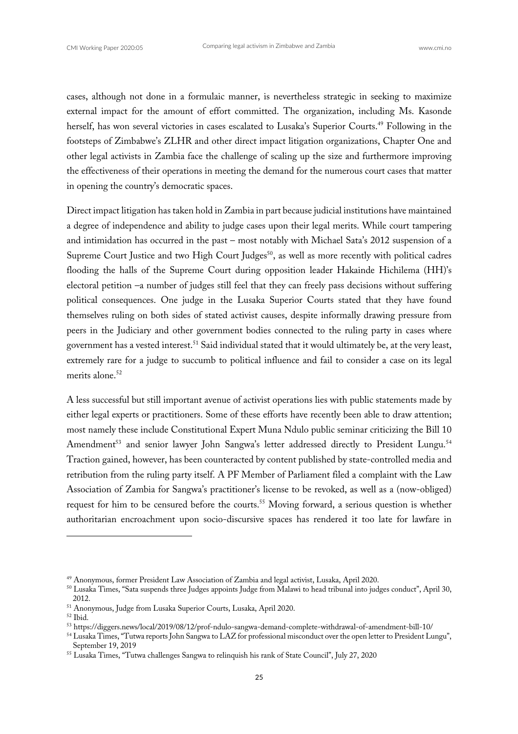cases, although not done in a formulaic manner, is nevertheless strategic in seeking to maximize external impact for the amount of effort committed. The organization, including Ms. Kasonde herself, has won several victories in cases escalated to Lusaka's Superior Courts.49 Following in the footsteps of Zimbabwe's ZLHR and other direct impact litigation organizations, Chapter One and other legal activists in Zambia face the challenge of scaling up the size and furthermore improving the effectiveness of their operations in meeting the demand for the numerous court cases that matter in opening the country's democratic spaces.

Direct impact litigation has taken hold in Zambia in part because judicial institutions have maintained a degree of independence and ability to judge cases upon their legal merits. While court tampering and intimidation has occurred in the past – most notably with Michael Sata's 2012 suspension of a Supreme Court Justice and two High Court Judges<sup>50</sup>, as well as more recently with political cadres flooding the halls of the Supreme Court during opposition leader Hakainde Hichilema (HH)'s electoral petition –a number of judges still feel that they can freely pass decisions without suffering political consequences. One judge in the Lusaka Superior Courts stated that they have found themselves ruling on both sides of stated activist causes, despite informally drawing pressure from peers in the Judiciary and other government bodies connected to the ruling party in cases where government has a vested interest.<sup>51</sup> Said individual stated that it would ultimately be, at the very least, extremely rare for a judge to succumb to political influence and fail to consider a case on its legal merits alone.<sup>52</sup>

A less successful but still important avenue of activist operations lies with public statements made by either legal experts or practitioners. Some of these efforts have recently been able to draw attention; most namely these include Constitutional Expert Muna Ndulo public seminar criticizing the Bill 10 Amendment<sup>53</sup> and senior lawyer John Sangwa's letter addressed directly to President Lungu.<sup>54</sup> Traction gained, however, has been counteracted by content published by state-controlled media and retribution from the ruling party itself. A PF Member of Parliament filed a complaint with the Law Association of Zambia for Sangwa's practitioner's license to be revoked, as well as a (now-obliged) request for him to be censured before the courts.<sup>55</sup> Moving forward, a serious question is whether authoritarian encroachment upon socio-discursive spaces has rendered it too late for lawfare in

<sup>49</sup> Anonymous, former President Law Association of Zambia and legal activist, Lusaka, April 2020.

<sup>50</sup> Lusaka Times, "Sata suspends three Judges appoints Judge from Malawi to head tribunal into judges conduct", April 30, 2012.<br><sup>51</sup> Anonymous, Judge from Lusaka Superior Courts, Lusaka, April 2020.<br><sup>52</sup> Ibid.

<sup>53</sup> https://diggers.news/local/2019/08/12/prof-ndulo-sangwa-demand-complete-withdrawal-of-amendment-bill-10/

<sup>54</sup> Lusaka Times, "Tutwa reports John Sangwa to LAZ for professional misconduct over the open letter to President Lungu", September 19, 2019

<sup>55</sup> Lusaka Times, "Tutwa challenges Sangwa to relinquish his rank of State Council", July 27, 2020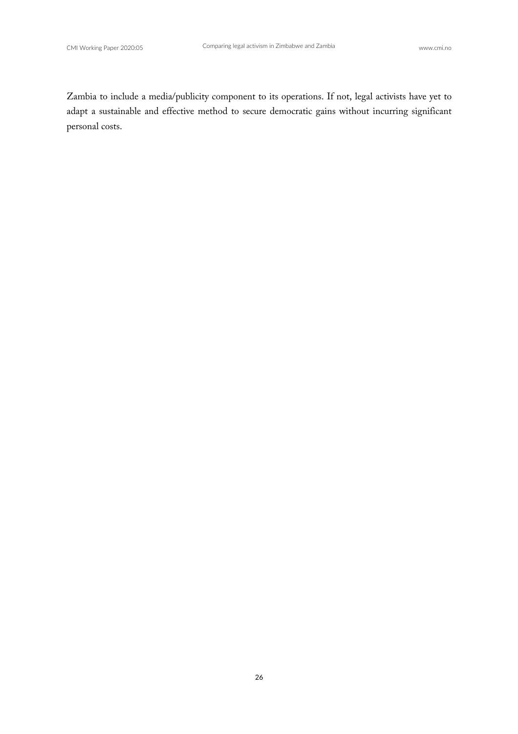Zambia to include a media/publicity component to its operations. If not, legal activists have yet to adapt a sustainable and effective method to secure democratic gains without incurring significant personal costs.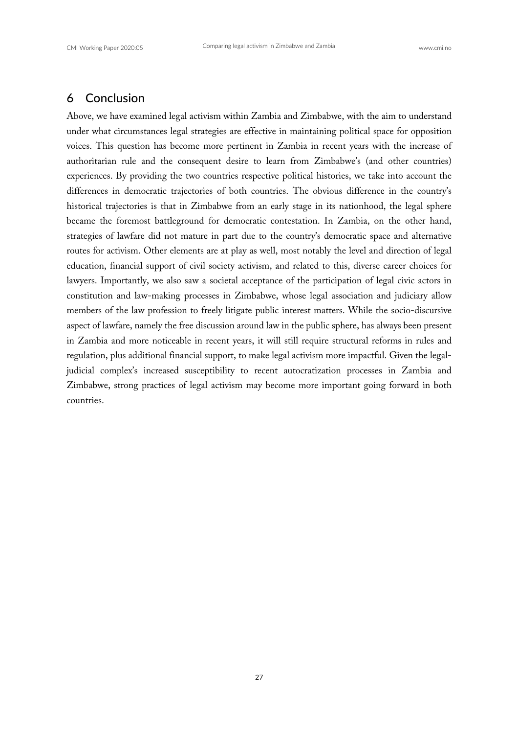# 6 Conclusion

Above, we have examined legal activism within Zambia and Zimbabwe, with the aim to understand under what circumstances legal strategies are effective in maintaining political space for opposition voices. This question has become more pertinent in Zambia in recent years with the increase of authoritarian rule and the consequent desire to learn from Zimbabwe's (and other countries) experiences. By providing the two countries respective political histories, we take into account the differences in democratic trajectories of both countries. The obvious difference in the country's historical trajectories is that in Zimbabwe from an early stage in its nationhood, the legal sphere became the foremost battleground for democratic contestation. In Zambia, on the other hand, strategies of lawfare did not mature in part due to the country's democratic space and alternative routes for activism. Other elements are at play as well, most notably the level and direction of legal education, financial support of civil society activism, and related to this, diverse career choices for lawyers. Importantly, we also saw a societal acceptance of the participation of legal civic actors in constitution and law-making processes in Zimbabwe, whose legal association and judiciary allow members of the law profession to freely litigate public interest matters. While the socio-discursive aspect of lawfare, namely the free discussion around law in the public sphere, has always been present in Zambia and more noticeable in recent years, it will still require structural reforms in rules and regulation, plus additional financial support, to make legal activism more impactful. Given the legaljudicial complex's increased susceptibility to recent autocratization processes in Zambia and Zimbabwe, strong practices of legal activism may become more important going forward in both countries.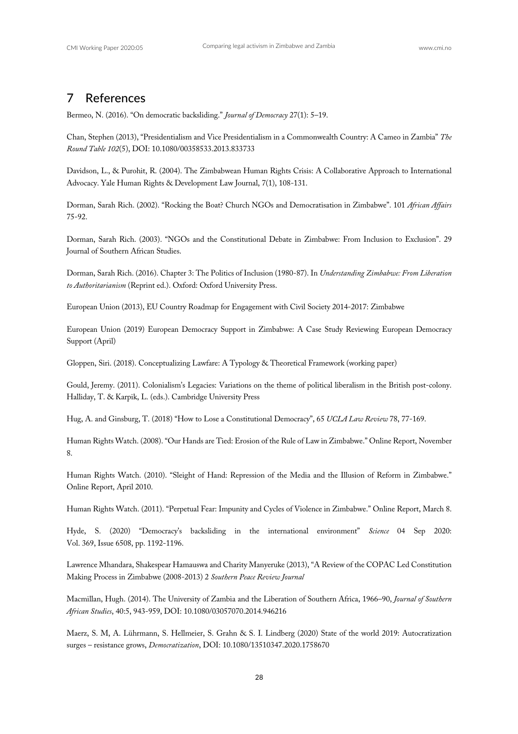#### 7 References

Bermeo, N. (2016). "On democratic backsliding." *Journal of Democracy* 27(1): 5–19.

Chan, Stephen (2013), "Presidentialism and Vice Presidentialism in a Commonwealth Country: A Cameo in Zambia" *The Round Table 102*(5), DOI: 10.1080/00358533.2013.833733

Davidson, L., & Purohit, R. (2004). The Zimbabwean Human Rights Crisis: A Collaborative Approach to International Advocacy. Yale Human Rights & Development Law Journal, 7(1), 108-131.

Dorman, Sarah Rich. (2002). "Rocking the Boat? Church NGOs and Democratisation in Zimbabwe". 101 *African Affairs* 75-92.

Dorman, Sarah Rich. (2003). "NGOs and the Constitutional Debate in Zimbabwe: From Inclusion to Exclusion". 29 Journal of Southern African Studies.

Dorman, Sarah Rich. (2016). Chapter 3: The Politics of Inclusion (1980-87). In *Understanding Zimbabwe: From Liberation to Authoritarianism* (Reprint ed.). Oxford: Oxford University Press.

European Union (2013), EU Country Roadmap for Engagement with Civil Society 2014-2017: Zimbabwe

European Union (2019) European Democracy Support in Zimbabwe: A Case Study Reviewing European Democracy Support (April)

Gloppen, Siri. (2018). Conceptualizing Lawfare: A Typology & Theoretical Framework (working paper)

Gould, Jeremy. (2011). Colonialism's Legacies: Variations on the theme of political liberalism in the British post-colony. Halliday, T. & Karpik, L. (eds.). Cambridge University Press

Hug, A. and Ginsburg, T. (2018) "How to Lose a Constitutional Democracy", 65 *UCLA Law Review* 78, 77-169.

Human Rights Watch. (2008). "Our Hands are Tied: Erosion of the Rule of Law in Zimbabwe." Online Report, November 8.

Human Rights Watch. (2010). "Sleight of Hand: Repression of the Media and the Illusion of Reform in Zimbabwe." Online Report, April 2010.

Human Rights Watch. (2011). "Perpetual Fear: Impunity and Cycles of Violence in Zimbabwe." Online Report, March 8.

Hyde, S. (2020) "Democracy's backsliding in the international environment" *Science* 04 Sep 2020: Vol. 369, Issue 6508, pp. 1192-1196.

Lawrence Mhandara, Shakespear Hamauswa and Charity Manyeruke (2013), "A Review of the COPAC Led Constitution Making Process in Zimbabwe (2008-2013) 2 *Southern Peace Review Journal*

Macmillan, Hugh. (2014). The University of Zambia and the Liberation of Southern Africa, 1966–90, *Journal of Southern African Studies*, 40:5, 943-959, DOI: 10.1080/03057070.2014.946216

Maerz, S. M, A. Lührmann, S. Hellmeier, S. Grahn & S. I. Lindberg (2020) State of the world 2019: Autocratization surges – resistance grows, *Democratization*, DOI: 10.1080/13510347.2020.1758670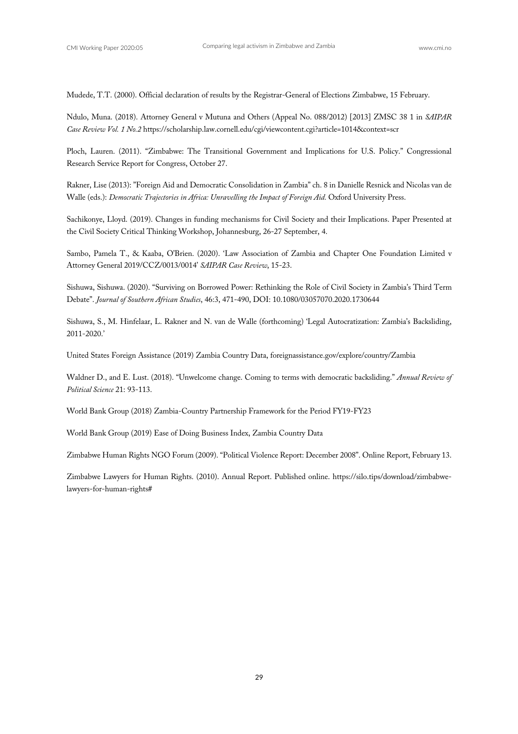Mudede, T.T. (2000). Official declaration of results by the Registrar-General of Elections Zimbabwe, 15 February.

Ndulo, Muna. (2018). Attorney General v Mutuna and Others (Appeal No. 088/2012) [2013] ZMSC 38 1 in *SAIPAR Case Review Vol. 1 No.2* https://scholarship.law.cornell.edu/cgi/viewcontent.cgi?article=1014&context=scr

Ploch, Lauren. (2011). "Zimbabwe: The Transitional Government and Implications for U.S. Policy." Congressional Research Service Report for Congress, October 27.

Rakner, Lise (2013): "Foreign Aid and Democratic Consolidation in Zambia" ch. 8 in Danielle Resnick and Nicolas van de Walle (eds.): *Democratic Trajectories in Africa: Unravelling the Impact of Foreign Aid.* Oxford University Press.

Sachikonye, Lloyd. (2019). Changes in funding mechanisms for Civil Society and their Implications. Paper Presented at the Civil Society Critical Thinking Workshop, Johannesburg, 26-27 September, 4.

Sambo, Pamela T., & Kaaba, O'Brien. (2020). 'Law Association of Zambia and Chapter One Foundation Limited v Attorney General 2019/CCZ/0013/0014' *SAIPAR Case Review*, 15-23.

Sishuwa, Sishuwa. (2020). "Surviving on Borrowed Power: Rethinking the Role of Civil Society in Zambia's Third Term Debate". *Journal of Southern African Studies*, 46:3, 471-490, DOI: 10.1080/03057070.2020.1730644

Sishuwa, S., M. Hinfelaar, L. Rakner and N. van de Walle (forthcoming) 'Legal Autocratization: Zambia's Backsliding, 2011-2020.'

United States Foreign Assistance (2019) Zambia Country Data, foreignassistance.gov/explore/country/Zambia

Waldner D., and E. Lust. (2018). "Unwelcome change. Coming to terms with democratic backsliding." *Annual Review of Political Science* 21: 93-113.

World Bank Group (2018) Zambia-Country Partnership Framework for the Period FY19-FY23

World Bank Group (2019) Ease of Doing Business Index, Zambia Country Data

Zimbabwe Human Rights NGO Forum (2009). "Political Violence Report: December 2008". Online Report, February 13.

Zimbabwe Lawyers for Human Rights. (2010). Annual Report. Published online. https://silo.tips/download/zimbabwelawyers-for-human-rights#